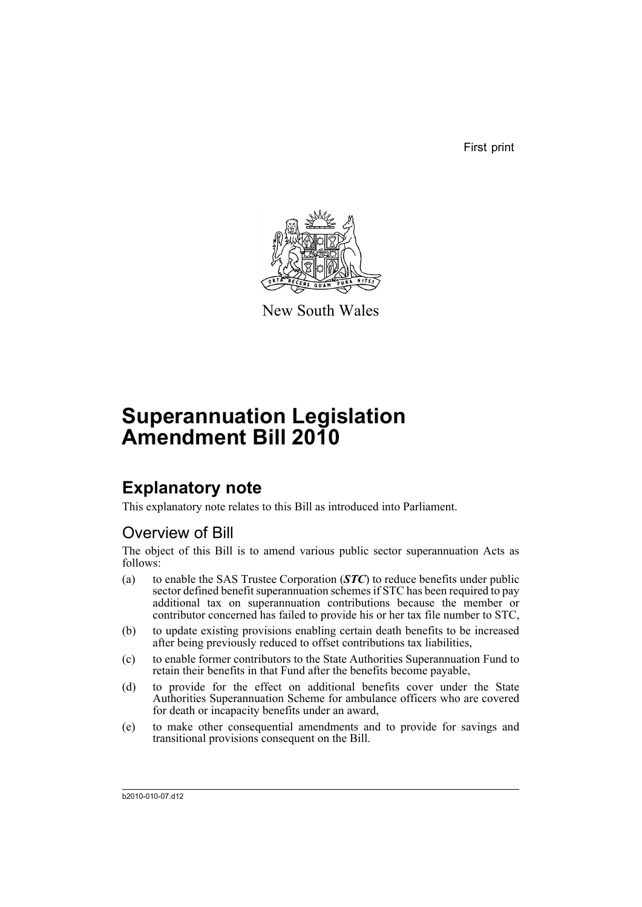First print



New South Wales

# **Superannuation Legislation Amendment Bill 2010**

## **Explanatory note**

This explanatory note relates to this Bill as introduced into Parliament.

## Overview of Bill

The object of this Bill is to amend various public sector superannuation Acts as follows:

- (a) to enable the SAS Trustee Corporation (*STC*) to reduce benefits under public sector defined benefit superannuation schemes if STC has been required to pay additional tax on superannuation contributions because the member or contributor concerned has failed to provide his or her tax file number to STC,
- (b) to update existing provisions enabling certain death benefits to be increased after being previously reduced to offset contributions tax liabilities,
- (c) to enable former contributors to the State Authorities Superannuation Fund to retain their benefits in that Fund after the benefits become payable,
- (d) to provide for the effect on additional benefits cover under the State Authorities Superannuation Scheme for ambulance officers who are covered for death or incapacity benefits under an award,
- (e) to make other consequential amendments and to provide for savings and transitional provisions consequent on the Bill.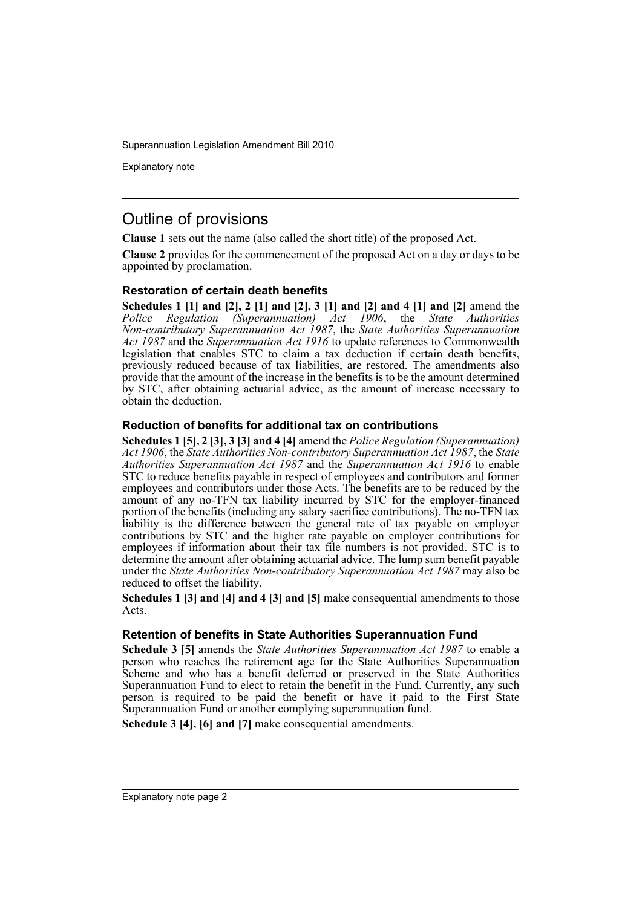Explanatory note

## Outline of provisions

**Clause 1** sets out the name (also called the short title) of the proposed Act.

**Clause 2** provides for the commencement of the proposed Act on a day or days to be appointed by proclamation.

### **Restoration of certain death benefits**

**Schedules 1 [1] and [2], 2 [1] and [2], 3 [1] and [2] and 4 [1] and [2]** amend the *Police Regulation (Superannuation) Act 1906*, the *State Authorities Non-contributory Superannuation Act 1987*, the *State Authorities Superannuation Act 1987* and the *Superannuation Act 1916* to update references to Commonwealth legislation that enables STC to claim a tax deduction if certain death benefits, previously reduced because of tax liabilities, are restored. The amendments also provide that the amount of the increase in the benefits is to be the amount determined by STC, after obtaining actuarial advice, as the amount of increase necessary to obtain the deduction.

### **Reduction of benefits for additional tax on contributions**

**Schedules 1 [5], 2 [3], 3 [3] and 4 [4]** amend the *Police Regulation (Superannuation) Act 1906*, the *State Authorities Non-contributory Superannuation Act 1987*, the *State Authorities Superannuation Act 1987* and the *Superannuation Act 1916* to enable STC to reduce benefits payable in respect of employees and contributors and former employees and contributors under those Acts. The benefits are to be reduced by the amount of any no-TFN tax liability incurred by STC for the employer-financed portion of the benefits (including any salary sacrifice contributions). The no-TFN tax liability is the difference between the general rate of tax payable on employer contributions by STC and the higher rate payable on employer contributions for employees if information about their tax file numbers is not provided. STC is to determine the amount after obtaining actuarial advice. The lump sum benefit payable under the *State Authorities Non-contributory Superannuation Act 1987* may also be reduced to offset the liability.

**Schedules 1 [3] and [4] and 4 [3] and [5]** make consequential amendments to those Acts.

### **Retention of benefits in State Authorities Superannuation Fund**

**Schedule 3 [5]** amends the *State Authorities Superannuation Act 1987* to enable a person who reaches the retirement age for the State Authorities Superannuation Scheme and who has a benefit deferred or preserved in the State Authorities Superannuation Fund to elect to retain the benefit in the Fund. Currently, any such person is required to be paid the benefit or have it paid to the First State Superannuation Fund or another complying superannuation fund.

**Schedule 3 [4], [6] and [7]** make consequential amendments.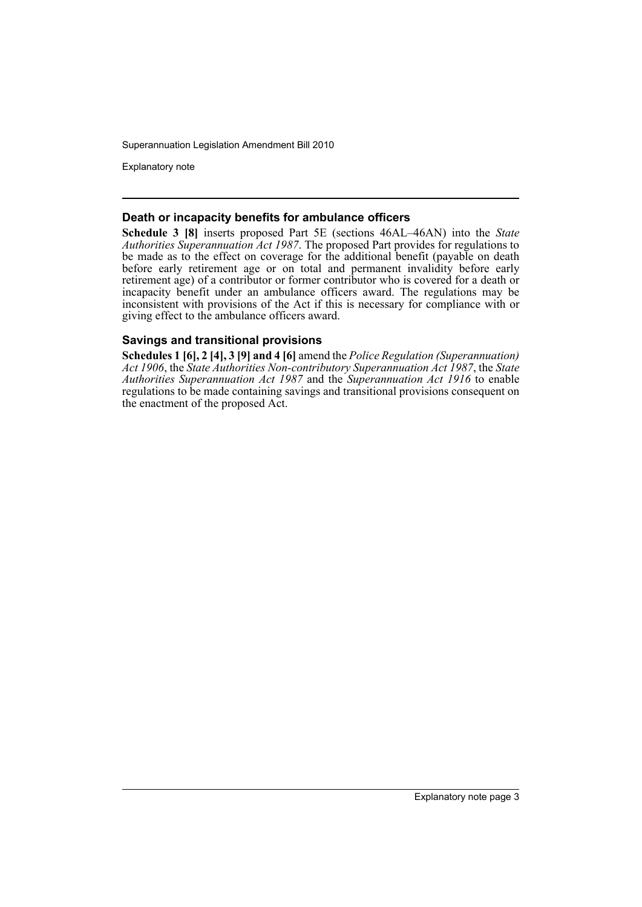Explanatory note

#### **Death or incapacity benefits for ambulance officers**

**Schedule 3 [8]** inserts proposed Part 5E (sections 46AL–46AN) into the *State Authorities Superannuation Act 1987*. The proposed Part provides for regulations to be made as to the effect on coverage for the additional benefit (payable on death before early retirement age or on total and permanent invalidity before early retirement age) of a contributor or former contributor who is covered for a death or incapacity benefit under an ambulance officers award. The regulations may be inconsistent with provisions of the Act if this is necessary for compliance with or giving effect to the ambulance officers award.

### **Savings and transitional provisions**

**Schedules 1 [6], 2 [4], 3 [9] and 4 [6]** amend the *Police Regulation (Superannuation) Act 1906*, the *State Authorities Non-contributory Superannuation Act 1987*, the *State Authorities Superannuation Act 1987* and the *Superannuation Act 1916* to enable regulations to be made containing savings and transitional provisions consequent on the enactment of the proposed Act.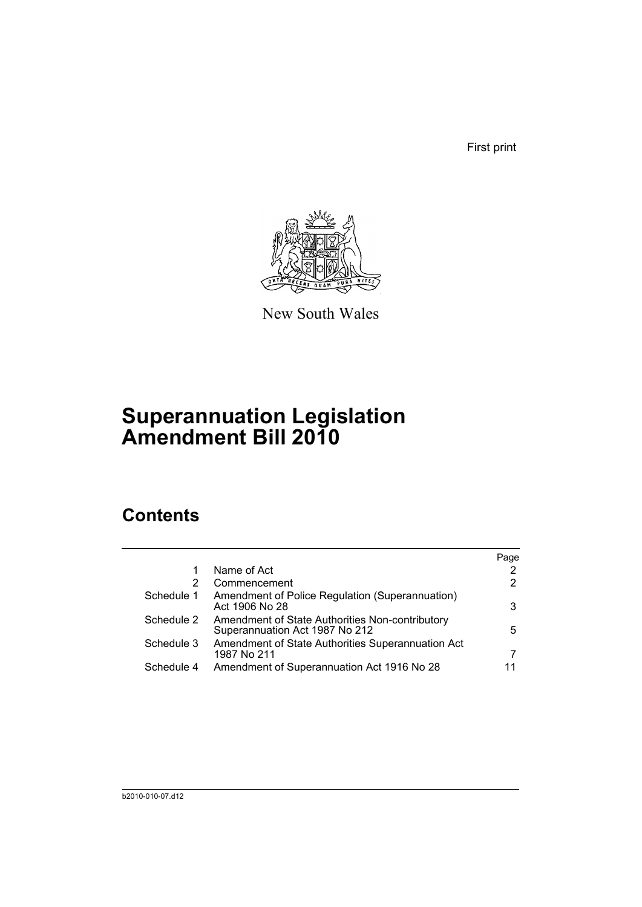First print



New South Wales

# **Superannuation Legislation Amendment Bill 2010**

# **Contents**

|            |                                                                                   | Page                  |
|------------|-----------------------------------------------------------------------------------|-----------------------|
|            | Name of Act                                                                       |                       |
| 2          | Commencement                                                                      | $\mathbf{2}^{\prime}$ |
| Schedule 1 | Amendment of Police Regulation (Superannuation)<br>Act 1906 No 28                 | 3                     |
| Schedule 2 | Amendment of State Authorities Non-contributory<br>Superannuation Act 1987 No 212 | 5                     |
| Schedule 3 | Amendment of State Authorities Superannuation Act<br>1987 No 211                  | 7                     |
| Schedule 4 | Amendment of Superannuation Act 1916 No 28                                        |                       |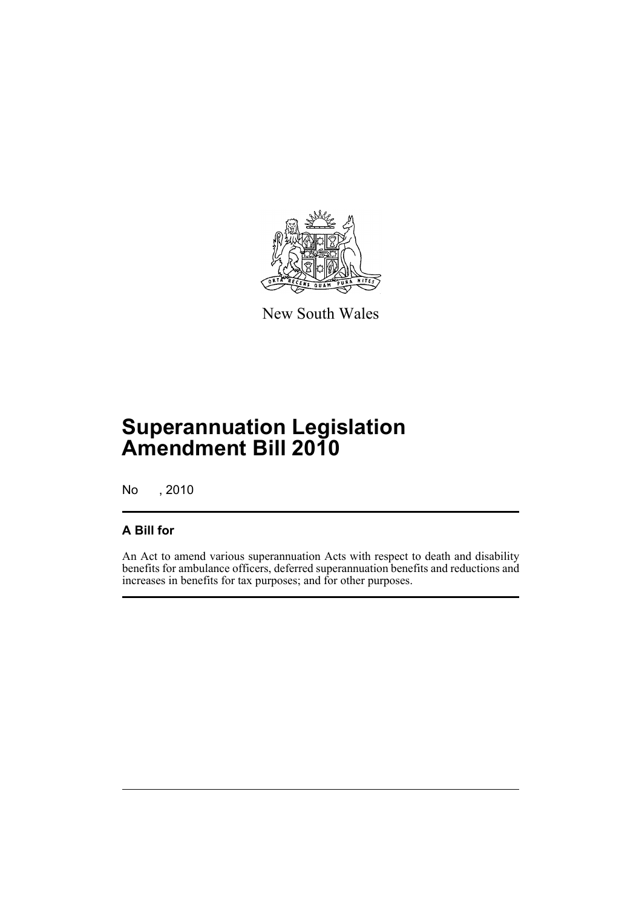

New South Wales

# **Superannuation Legislation Amendment Bill 2010**

No , 2010

## **A Bill for**

An Act to amend various superannuation Acts with respect to death and disability benefits for ambulance officers, deferred superannuation benefits and reductions and increases in benefits for tax purposes; and for other purposes.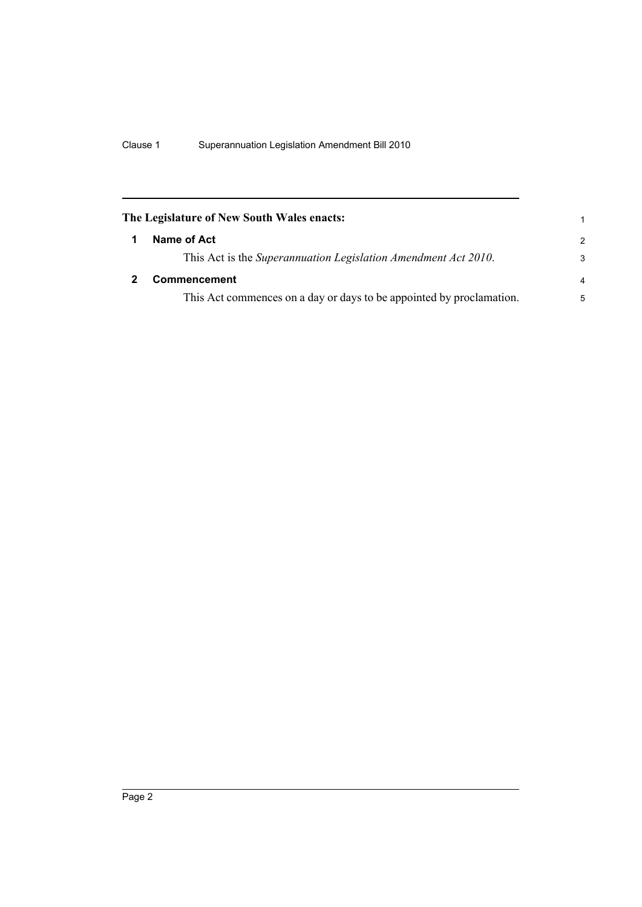<span id="page-7-1"></span><span id="page-7-0"></span>

| The Legislature of New South Wales enacts:                           | 1              |
|----------------------------------------------------------------------|----------------|
| Name of Act                                                          | $\mathcal{P}$  |
| This Act is the Superannuation Legislation Amendment Act 2010.       | 3              |
| <b>Commencement</b>                                                  | $\overline{a}$ |
| This Act commences on a day or days to be appointed by proclamation. | 5              |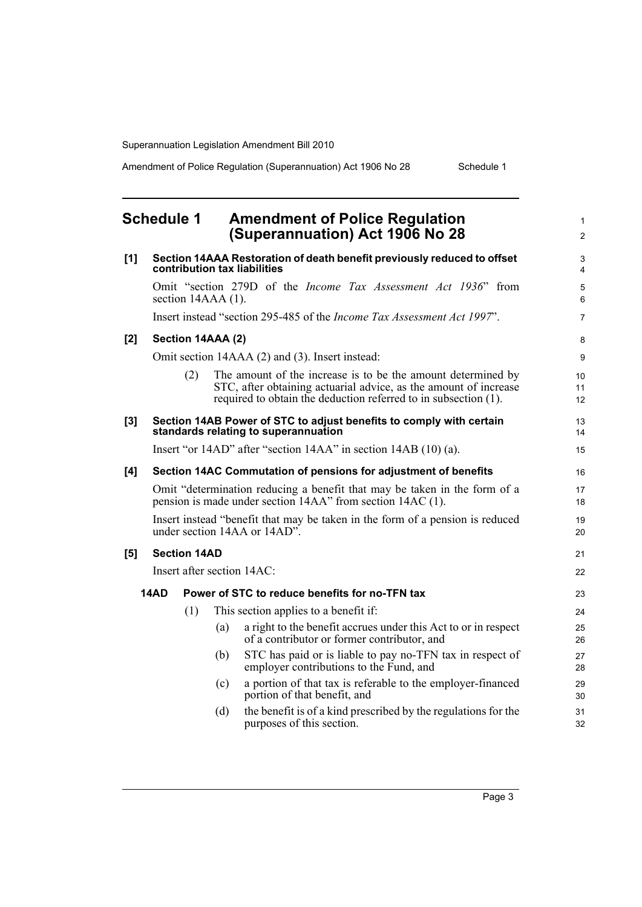Amendment of Police Regulation (Superannuation) Act 1906 No 28 Schedule 1

1 2

## <span id="page-8-0"></span>**Schedule 1 Amendment of Police Regulation (Superannuation) Act 1906 No 28**

| [1]   |                                                                                                                                         |                      |     | Section 14AAA Restoration of death benefit previously reduced to offset<br>contribution tax liabilities                                                                                             | 3<br>$\overline{4}$ |  |  |
|-------|-----------------------------------------------------------------------------------------------------------------------------------------|----------------------|-----|-----------------------------------------------------------------------------------------------------------------------------------------------------------------------------------------------------|---------------------|--|--|
|       |                                                                                                                                         | section $14AAA(1)$ . |     | Omit "section 279D of the <i>Income Tax Assessment Act 1936</i> " from                                                                                                                              | $\sqrt{5}$<br>6     |  |  |
|       |                                                                                                                                         |                      |     | Insert instead "section 295-485 of the Income Tax Assessment Act 1997".                                                                                                                             | $\overline{7}$      |  |  |
| $[2]$ |                                                                                                                                         | Section 14AAA (2)    |     |                                                                                                                                                                                                     | 8                   |  |  |
|       |                                                                                                                                         |                      |     | Omit section 14AAA (2) and (3). Insert instead:                                                                                                                                                     | 9                   |  |  |
|       |                                                                                                                                         | (2)                  |     | The amount of the increase is to be the amount determined by<br>STC, after obtaining actuarial advice, as the amount of increase<br>required to obtain the deduction referred to in subsection (1). | 10<br>11<br>12      |  |  |
| [3]   |                                                                                                                                         |                      |     | Section 14AB Power of STC to adjust benefits to comply with certain<br>standards relating to superannuation                                                                                         | 13<br>14            |  |  |
|       | Insert "or 14AD" after "section 14AA" in section 14AB (10) (a).                                                                         |                      |     |                                                                                                                                                                                                     |                     |  |  |
| [4]   |                                                                                                                                         |                      |     | Section 14AC Commutation of pensions for adjustment of benefits                                                                                                                                     | 16                  |  |  |
|       | Omit "determination reducing a benefit that may be taken in the form of a<br>pension is made under section 14AA" from section 14AC (1). |                      |     |                                                                                                                                                                                                     |                     |  |  |
|       | Insert instead "benefit that may be taken in the form of a pension is reduced<br>under section 14AA or 14AD".                           |                      |     |                                                                                                                                                                                                     |                     |  |  |
| [5]   |                                                                                                                                         | <b>Section 14AD</b>  |     |                                                                                                                                                                                                     | 21                  |  |  |
|       |                                                                                                                                         |                      |     | Insert after section 14AC:                                                                                                                                                                          | 22                  |  |  |
|       | 14AD                                                                                                                                    |                      |     | Power of STC to reduce benefits for no-TFN tax                                                                                                                                                      | 23                  |  |  |
|       |                                                                                                                                         | (1)                  |     | This section applies to a benefit if:                                                                                                                                                               | 24                  |  |  |
|       |                                                                                                                                         |                      | (a) | a right to the benefit accrues under this Act to or in respect<br>of a contributor or former contributor, and                                                                                       | 25<br>26            |  |  |
|       |                                                                                                                                         |                      | (b) | STC has paid or is liable to pay no-TFN tax in respect of<br>employer contributions to the Fund, and                                                                                                | 27<br>28            |  |  |
|       |                                                                                                                                         |                      | (c) | a portion of that tax is referable to the employer-financed<br>portion of that benefit, and                                                                                                         | 29<br>30            |  |  |
|       |                                                                                                                                         |                      | (d) | the benefit is of a kind prescribed by the regulations for the<br>purposes of this section.                                                                                                         | 31<br>32            |  |  |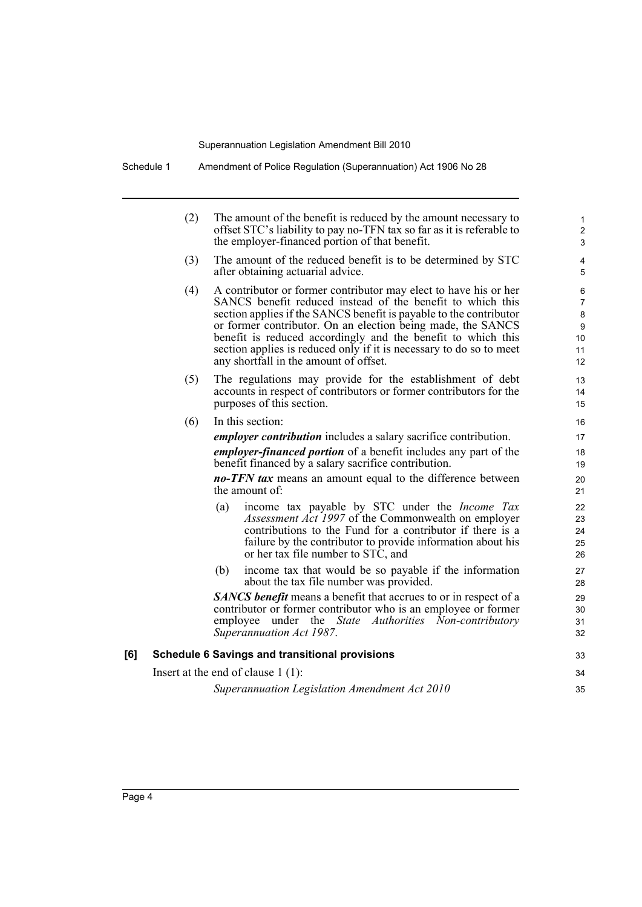Schedule 1 Amendment of Police Regulation (Superannuation) Act 1906 No 28

|     | (2) | The amount of the benefit is reduced by the amount necessary to<br>offset STC's liability to pay no-TFN tax so far as it is referable to<br>the employer-financed portion of that benefit.                                                                                                                                                                                                                                                           | $\mathbf{1}$<br>$\overline{c}$<br>$\mathfrak{S}$ |
|-----|-----|------------------------------------------------------------------------------------------------------------------------------------------------------------------------------------------------------------------------------------------------------------------------------------------------------------------------------------------------------------------------------------------------------------------------------------------------------|--------------------------------------------------|
|     | (3) | The amount of the reduced benefit is to be determined by STC<br>after obtaining actuarial advice.                                                                                                                                                                                                                                                                                                                                                    | $\overline{\mathbf{4}}$<br>5                     |
|     | (4) | A contributor or former contributor may elect to have his or her<br>SANCS benefit reduced instead of the benefit to which this<br>section applies if the SANCS benefit is payable to the contributor<br>or former contributor. On an election being made, the SANCS<br>benefit is reduced accordingly and the benefit to which this<br>section applies is reduced only if it is necessary to do so to meet<br>any shortfall in the amount of offset. | 6<br>$\overline{7}$<br>8<br>9<br>10<br>11<br>12  |
|     | (5) | The regulations may provide for the establishment of debt<br>accounts in respect of contributors or former contributors for the<br>purposes of this section.                                                                                                                                                                                                                                                                                         | 13<br>14<br>15                                   |
|     | (6) | In this section:                                                                                                                                                                                                                                                                                                                                                                                                                                     | 16                                               |
|     |     | <i>employer contribution</i> includes a salary sacrifice contribution.                                                                                                                                                                                                                                                                                                                                                                               | 17                                               |
|     |     | <i>employer-financed portion</i> of a benefit includes any part of the                                                                                                                                                                                                                                                                                                                                                                               | 18                                               |
|     |     | benefit financed by a salary sacrifice contribution.                                                                                                                                                                                                                                                                                                                                                                                                 | 19                                               |
|     |     | <b>no-TFN tax</b> means an amount equal to the difference between<br>the amount of:                                                                                                                                                                                                                                                                                                                                                                  | 20<br>21                                         |
|     |     | income tax payable by STC under the <i>Income Tax</i><br>(a)<br><i>Assessment Act 1997</i> of the Commonwealth on employer<br>contributions to the Fund for a contributor if there is a<br>failure by the contributor to provide information about his<br>or her tax file number to STC, and                                                                                                                                                         | 22<br>23<br>24<br>25<br>26                       |
|     |     | income tax that would be so payable if the information<br>(b)<br>about the tax file number was provided.                                                                                                                                                                                                                                                                                                                                             | 27<br>28                                         |
|     |     | <b>SANCS</b> benefit means a benefit that accrues to or in respect of a<br>contributor or former contributor who is an employee or former<br>under the State Authorities Non-contributory<br>employee<br>Superannuation Act 1987.                                                                                                                                                                                                                    | 29<br>30<br>31<br>32                             |
| [6] |     | <b>Schedule 6 Savings and transitional provisions</b>                                                                                                                                                                                                                                                                                                                                                                                                | 33                                               |
|     |     | Insert at the end of clause $1(1)$ :                                                                                                                                                                                                                                                                                                                                                                                                                 | 34                                               |
|     |     |                                                                                                                                                                                                                                                                                                                                                                                                                                                      |                                                  |

*Superannuation Legislation Amendment Act 2010*

35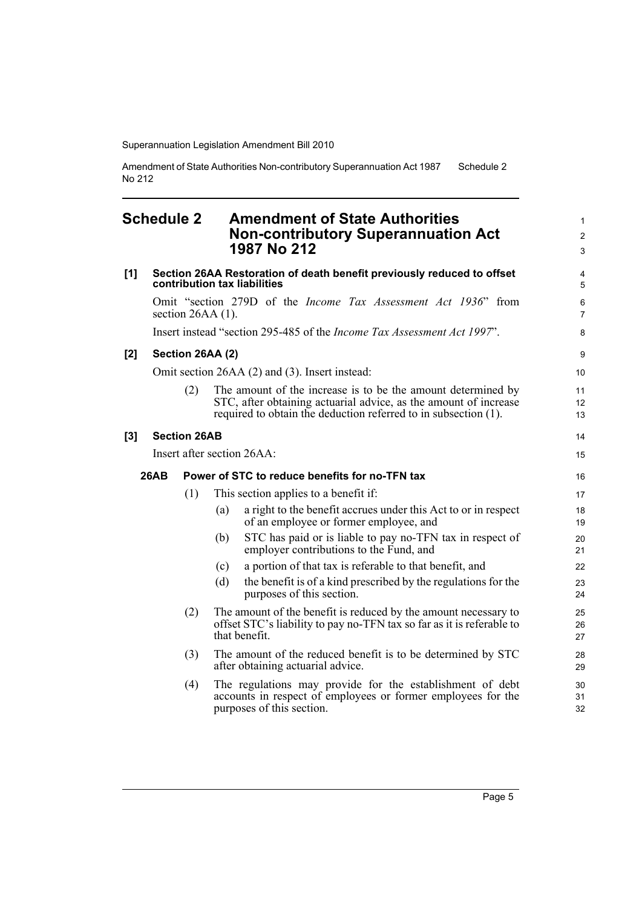Amendment of State Authorities Non-contributory Superannuation Act 1987 No 212 Schedule 2

## <span id="page-10-0"></span>**Schedule 2 Amendment of State Authorities Non-contributory Superannuation Act 1987 No 212**

| [1] |             |                     | Section 26AA Restoration of death benefit previously reduced to offset<br>contribution tax liabilities                                                                                              | 4<br>5                    |
|-----|-------------|---------------------|-----------------------------------------------------------------------------------------------------------------------------------------------------------------------------------------------------|---------------------------|
|     |             |                     | Omit "section 279D of the <i>Income Tax Assessment Act 1936</i> " from<br>section $26AA(1)$ .                                                                                                       | $\,6\,$<br>$\overline{7}$ |
|     |             |                     | Insert instead "section 295-485 of the <i>Income Tax Assessment Act 1997</i> ".                                                                                                                     | 8                         |
| [2] |             |                     | Section 26AA (2)                                                                                                                                                                                    | 9                         |
|     |             |                     | Omit section 26AA (2) and (3). Insert instead:                                                                                                                                                      | 10                        |
|     |             | (2)                 | The amount of the increase is to be the amount determined by<br>STC, after obtaining actuarial advice, as the amount of increase<br>required to obtain the deduction referred to in subsection (1). | 11<br>12<br>13            |
| [3] |             | <b>Section 26AB</b> |                                                                                                                                                                                                     | 14                        |
|     |             |                     | Insert after section 26AA:                                                                                                                                                                          | 15                        |
|     | <b>26AB</b> |                     | Power of STC to reduce benefits for no-TFN tax                                                                                                                                                      | 16                        |
|     |             | (1)                 | This section applies to a benefit if:                                                                                                                                                               | 17                        |
|     |             |                     | a right to the benefit accrues under this Act to or in respect<br>(a)<br>of an employee or former employee, and                                                                                     | 18<br>19                  |
|     |             |                     | STC has paid or is liable to pay no-TFN tax in respect of<br>(b)<br>employer contributions to the Fund, and                                                                                         | 20<br>21                  |
|     |             |                     | a portion of that tax is referable to that benefit, and<br>(c)                                                                                                                                      | 22                        |
|     |             |                     | (d)<br>the benefit is of a kind prescribed by the regulations for the<br>purposes of this section.                                                                                                  | 23<br>24                  |
|     |             | (2)                 | The amount of the benefit is reduced by the amount necessary to<br>offset STC's liability to pay no-TFN tax so far as it is referable to<br>that benefit.                                           | 25<br>26<br>27            |
|     |             | (3)                 | The amount of the reduced benefit is to be determined by STC<br>after obtaining actuarial advice.                                                                                                   | 28<br>29                  |
|     |             | (4)                 | The regulations may provide for the establishment of debt<br>accounts in respect of employees or former employees for the<br>purposes of this section.                                              | 30<br>31<br>32            |

1 2 3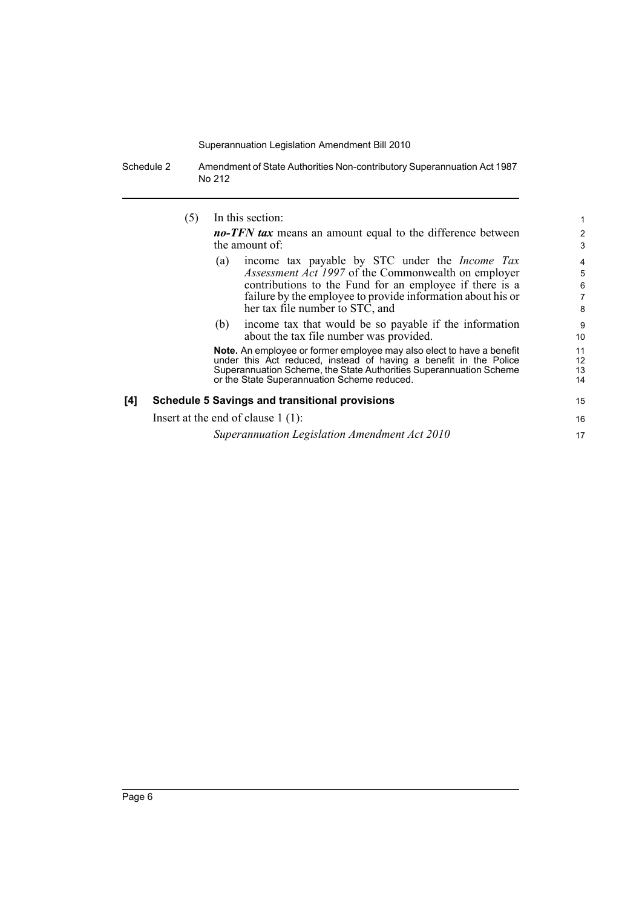Schedule 2 Amendment of State Authorities Non-contributory Superannuation Act 1987 No 212

(5) In this section:

*no-TFN tax* means an amount equal to the difference between the amount of:

15 16 17

- (a) income tax payable by STC under the *Income Tax Assessment Act 1997* of the Commonwealth on employer contributions to the Fund for an employee if there is a failure by the employee to provide information about his or her tax file number to STC, and
- (b) income tax that would be so payable if the information about the tax file number was provided.

**Note.** An employee or former employee may also elect to have a benefit under this Act reduced, instead of having a benefit in the Police Superannuation Scheme, the State Authorities Superannuation Scheme or the State Superannuation Scheme reduced.

#### **[4] Schedule 5 Savings and transitional provisions**

Insert at the end of clause 1 (1):

*Superannuation Legislation Amendment Act 2010*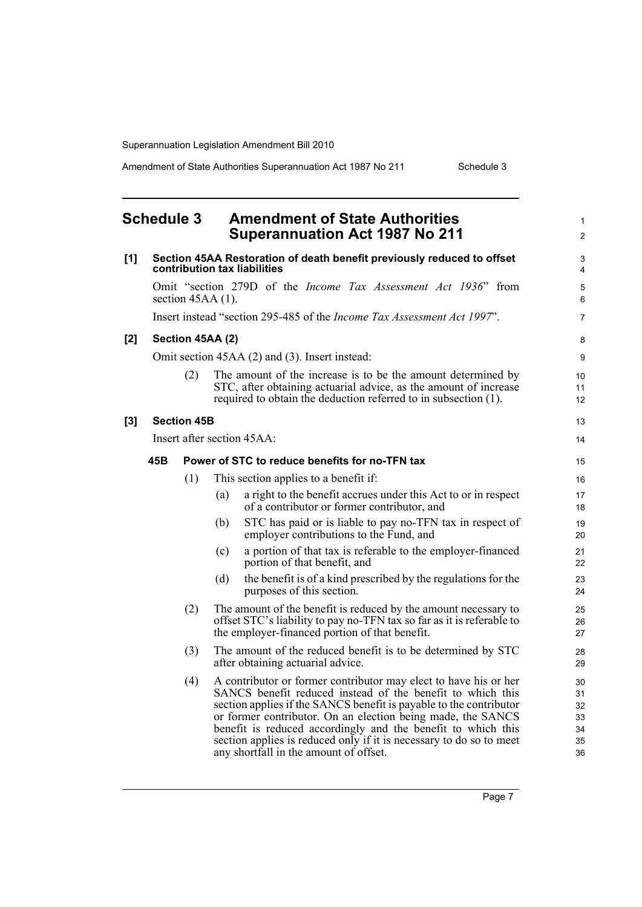Amendment of State Authorities Superannuation Act 1987 No 211 Schedule 3

1 2

## <span id="page-12-0"></span>**Schedule 3 Amendment of State Authorities Superannuation Act 1987 No 211**

| [1] |     |                     |     | Section 45AA Restoration of death benefit previously reduced to offset<br>contribution tax liabilities                                                                                                                                                                                                                                                                                                                                               | 3<br>4                                 |
|-----|-----|---------------------|-----|------------------------------------------------------------------------------------------------------------------------------------------------------------------------------------------------------------------------------------------------------------------------------------------------------------------------------------------------------------------------------------------------------------------------------------------------------|----------------------------------------|
|     |     | section $45AA(1)$ . |     | Omit "section 279D of the <i>Income Tax Assessment Act 1936</i> " from                                                                                                                                                                                                                                                                                                                                                                               | 5<br>6                                 |
|     |     |                     |     | Insert instead "section 295-485 of the <i>Income Tax Assessment Act 1997"</i> .                                                                                                                                                                                                                                                                                                                                                                      | $\overline{7}$                         |
| [2] |     | Section 45AA (2)    |     |                                                                                                                                                                                                                                                                                                                                                                                                                                                      | 8                                      |
|     |     |                     |     | Omit section 45AA (2) and (3). Insert instead:                                                                                                                                                                                                                                                                                                                                                                                                       | 9                                      |
|     |     | (2)                 |     | The amount of the increase is to be the amount determined by<br>STC, after obtaining actuarial advice, as the amount of increase<br>required to obtain the deduction referred to in subsection (1).                                                                                                                                                                                                                                                  | 10<br>11<br>12                         |
| [3] |     | <b>Section 45B</b>  |     |                                                                                                                                                                                                                                                                                                                                                                                                                                                      | 13                                     |
|     |     |                     |     | Insert after section 45AA:                                                                                                                                                                                                                                                                                                                                                                                                                           | 14                                     |
|     | 45B |                     |     | Power of STC to reduce benefits for no-TFN tax                                                                                                                                                                                                                                                                                                                                                                                                       | 15                                     |
|     |     | (1)                 |     | This section applies to a benefit if:                                                                                                                                                                                                                                                                                                                                                                                                                | 16                                     |
|     |     |                     | (a) | a right to the benefit accrues under this Act to or in respect<br>of a contributor or former contributor, and                                                                                                                                                                                                                                                                                                                                        | 17<br>18                               |
|     |     |                     | (b) | STC has paid or is liable to pay no-TFN tax in respect of<br>employer contributions to the Fund, and                                                                                                                                                                                                                                                                                                                                                 | 19<br>20                               |
|     |     |                     | (c) | a portion of that tax is referable to the employer-financed<br>portion of that benefit, and                                                                                                                                                                                                                                                                                                                                                          | 21<br>22                               |
|     |     |                     | (d) | the benefit is of a kind prescribed by the regulations for the<br>purposes of this section.                                                                                                                                                                                                                                                                                                                                                          | 23<br>24                               |
|     |     | (2)                 |     | The amount of the benefit is reduced by the amount necessary to<br>offset STC's liability to pay no-TFN tax so far as it is referable to<br>the employer-financed portion of that benefit.                                                                                                                                                                                                                                                           | 25<br>26<br>27                         |
|     |     | (3)                 |     | The amount of the reduced benefit is to be determined by STC<br>after obtaining actuarial advice.                                                                                                                                                                                                                                                                                                                                                    | 28<br>29                               |
|     |     | (4)                 |     | A contributor or former contributor may elect to have his or her<br>SANCS benefit reduced instead of the benefit to which this<br>section applies if the SANCS benefit is payable to the contributor<br>or former contributor. On an election being made, the SANCS<br>benefit is reduced accordingly and the benefit to which this<br>section applies is reduced only if it is necessary to do so to meet<br>any shortfall in the amount of offset. | 30<br>31<br>32<br>33<br>34<br>35<br>36 |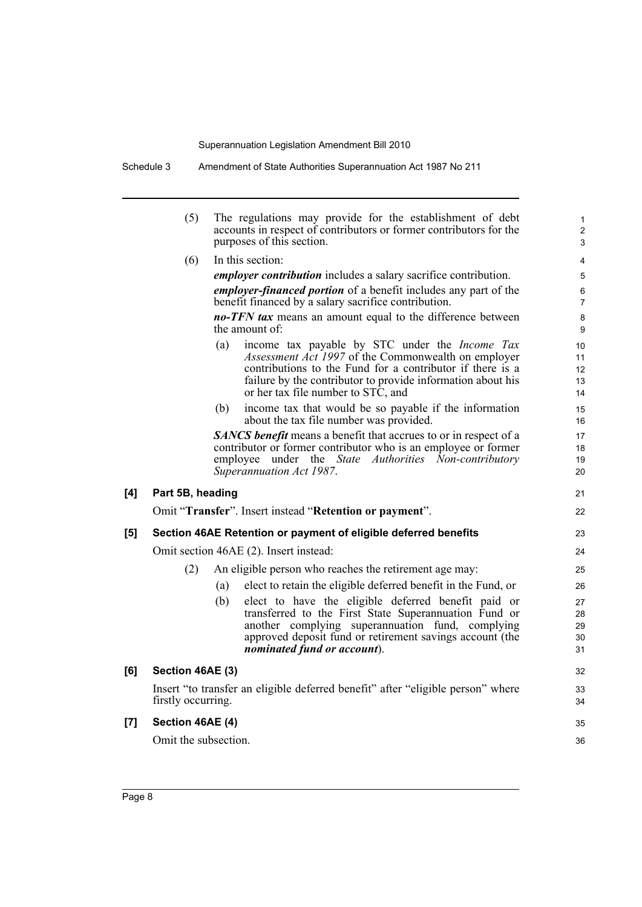Schedule 3 Amendment of State Authorities Superannuation Act 1987 No 211

| (5)<br>The regulations may provide for the establishment of debt<br>accounts in respect of contributors or former contributors for the<br>purposes of this section.<br>In this section:<br>(6)<br><i>employer contribution</i> includes a salary sacrifice contribution.<br><i>employer-financed portion</i> of a benefit includes any part of the<br>benefit financed by a salary sacrifice contribution.<br><b>no-TFN tax</b> means an amount equal to the difference between<br>the amount of:<br>(a)<br>or her tax file number to STC, and<br>(b)<br>about the tax file number was provided.<br><b>SANCS</b> benefit means a benefit that accrues to or in respect of a<br>contributor or former contributor who is an employee or former<br>employee<br>under the <i>State</i><br>Authorities<br>Superannuation Act 1987.<br>[4]<br>Part 5B, heading<br>Omit "Transfer". Insert instead "Retention or payment".<br>[5]<br>Section 46AE Retention or payment of eligible deferred benefits<br>Omit section 46AE (2). Insert instead:<br>An eligible person who reaches the retirement age may:<br>(2)<br>(a)<br>(b)<br>another complying superannuation fund, complying<br>nominated fund or account).<br>[6]<br>Section 46AE (3)<br>Insert "to transfer an eligible deferred benefit" after "eligible person" where<br>firstly occurring.<br>Section 46AE (4)<br>[7] |  |                                                                                                                                                                                                                                          |                            |
|---------------------------------------------------------------------------------------------------------------------------------------------------------------------------------------------------------------------------------------------------------------------------------------------------------------------------------------------------------------------------------------------------------------------------------------------------------------------------------------------------------------------------------------------------------------------------------------------------------------------------------------------------------------------------------------------------------------------------------------------------------------------------------------------------------------------------------------------------------------------------------------------------------------------------------------------------------------------------------------------------------------------------------------------------------------------------------------------------------------------------------------------------------------------------------------------------------------------------------------------------------------------------------------------------------------------------------------------------------------------------|--|------------------------------------------------------------------------------------------------------------------------------------------------------------------------------------------------------------------------------------------|----------------------------|
|                                                                                                                                                                                                                                                                                                                                                                                                                                                                                                                                                                                                                                                                                                                                                                                                                                                                                                                                                                                                                                                                                                                                                                                                                                                                                                                                                                           |  |                                                                                                                                                                                                                                          | 1<br>$\overline{c}$<br>3   |
|                                                                                                                                                                                                                                                                                                                                                                                                                                                                                                                                                                                                                                                                                                                                                                                                                                                                                                                                                                                                                                                                                                                                                                                                                                                                                                                                                                           |  |                                                                                                                                                                                                                                          | 4                          |
|                                                                                                                                                                                                                                                                                                                                                                                                                                                                                                                                                                                                                                                                                                                                                                                                                                                                                                                                                                                                                                                                                                                                                                                                                                                                                                                                                                           |  |                                                                                                                                                                                                                                          | 5                          |
|                                                                                                                                                                                                                                                                                                                                                                                                                                                                                                                                                                                                                                                                                                                                                                                                                                                                                                                                                                                                                                                                                                                                                                                                                                                                                                                                                                           |  |                                                                                                                                                                                                                                          | 6<br>7                     |
|                                                                                                                                                                                                                                                                                                                                                                                                                                                                                                                                                                                                                                                                                                                                                                                                                                                                                                                                                                                                                                                                                                                                                                                                                                                                                                                                                                           |  |                                                                                                                                                                                                                                          | 8<br>9                     |
|                                                                                                                                                                                                                                                                                                                                                                                                                                                                                                                                                                                                                                                                                                                                                                                                                                                                                                                                                                                                                                                                                                                                                                                                                                                                                                                                                                           |  | income tax payable by STC under the <i>Income Tax</i><br>Assessment Act 1997 of the Commonwealth on employer<br>contributions to the Fund for a contributor if there is a<br>failure by the contributor to provide information about his | 10<br>11<br>12<br>13<br>14 |
|                                                                                                                                                                                                                                                                                                                                                                                                                                                                                                                                                                                                                                                                                                                                                                                                                                                                                                                                                                                                                                                                                                                                                                                                                                                                                                                                                                           |  | income tax that would be so payable if the information                                                                                                                                                                                   | 15<br>16                   |
|                                                                                                                                                                                                                                                                                                                                                                                                                                                                                                                                                                                                                                                                                                                                                                                                                                                                                                                                                                                                                                                                                                                                                                                                                                                                                                                                                                           |  | Non-contributory                                                                                                                                                                                                                         | 17<br>18<br>19<br>20       |
|                                                                                                                                                                                                                                                                                                                                                                                                                                                                                                                                                                                                                                                                                                                                                                                                                                                                                                                                                                                                                                                                                                                                                                                                                                                                                                                                                                           |  |                                                                                                                                                                                                                                          | 21                         |
|                                                                                                                                                                                                                                                                                                                                                                                                                                                                                                                                                                                                                                                                                                                                                                                                                                                                                                                                                                                                                                                                                                                                                                                                                                                                                                                                                                           |  |                                                                                                                                                                                                                                          | 22                         |
|                                                                                                                                                                                                                                                                                                                                                                                                                                                                                                                                                                                                                                                                                                                                                                                                                                                                                                                                                                                                                                                                                                                                                                                                                                                                                                                                                                           |  |                                                                                                                                                                                                                                          | 23                         |
|                                                                                                                                                                                                                                                                                                                                                                                                                                                                                                                                                                                                                                                                                                                                                                                                                                                                                                                                                                                                                                                                                                                                                                                                                                                                                                                                                                           |  |                                                                                                                                                                                                                                          | 24                         |
|                                                                                                                                                                                                                                                                                                                                                                                                                                                                                                                                                                                                                                                                                                                                                                                                                                                                                                                                                                                                                                                                                                                                                                                                                                                                                                                                                                           |  |                                                                                                                                                                                                                                          | 25                         |
|                                                                                                                                                                                                                                                                                                                                                                                                                                                                                                                                                                                                                                                                                                                                                                                                                                                                                                                                                                                                                                                                                                                                                                                                                                                                                                                                                                           |  | elect to retain the eligible deferred benefit in the Fund, or                                                                                                                                                                            | 26                         |
|                                                                                                                                                                                                                                                                                                                                                                                                                                                                                                                                                                                                                                                                                                                                                                                                                                                                                                                                                                                                                                                                                                                                                                                                                                                                                                                                                                           |  | elect to have the eligible deferred benefit paid or<br>transferred to the First State Superannuation Fund or                                                                                                                             | 27<br>28                   |
|                                                                                                                                                                                                                                                                                                                                                                                                                                                                                                                                                                                                                                                                                                                                                                                                                                                                                                                                                                                                                                                                                                                                                                                                                                                                                                                                                                           |  | approved deposit fund or retirement savings account (the                                                                                                                                                                                 | 29<br>30<br>31             |
|                                                                                                                                                                                                                                                                                                                                                                                                                                                                                                                                                                                                                                                                                                                                                                                                                                                                                                                                                                                                                                                                                                                                                                                                                                                                                                                                                                           |  |                                                                                                                                                                                                                                          | 32                         |
|                                                                                                                                                                                                                                                                                                                                                                                                                                                                                                                                                                                                                                                                                                                                                                                                                                                                                                                                                                                                                                                                                                                                                                                                                                                                                                                                                                           |  |                                                                                                                                                                                                                                          | 33<br>34                   |
|                                                                                                                                                                                                                                                                                                                                                                                                                                                                                                                                                                                                                                                                                                                                                                                                                                                                                                                                                                                                                                                                                                                                                                                                                                                                                                                                                                           |  |                                                                                                                                                                                                                                          | 35                         |
| Omit the subsection.                                                                                                                                                                                                                                                                                                                                                                                                                                                                                                                                                                                                                                                                                                                                                                                                                                                                                                                                                                                                                                                                                                                                                                                                                                                                                                                                                      |  |                                                                                                                                                                                                                                          | 36                         |
|                                                                                                                                                                                                                                                                                                                                                                                                                                                                                                                                                                                                                                                                                                                                                                                                                                                                                                                                                                                                                                                                                                                                                                                                                                                                                                                                                                           |  |                                                                                                                                                                                                                                          |                            |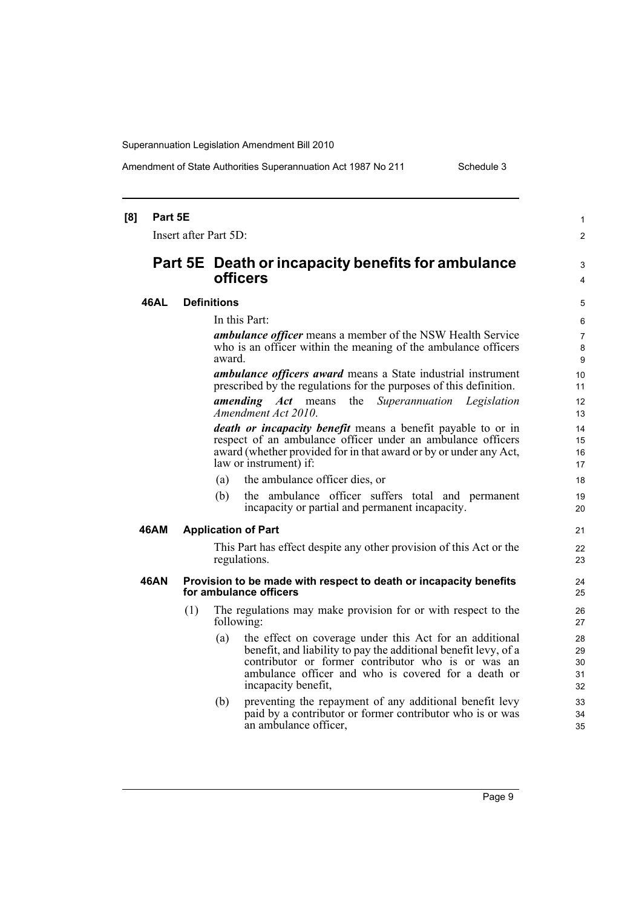Amendment of State Authorities Superannuation Act 1987 No 211 Schedule 3

| [8] | Part 5E               |     |                                                                                                                                                                                                                                                                       | 1                          |  |  |
|-----|-----------------------|-----|-----------------------------------------------------------------------------------------------------------------------------------------------------------------------------------------------------------------------------------------------------------------------|----------------------------|--|--|
|     | Insert after Part 5D: |     |                                                                                                                                                                                                                                                                       | $\overline{2}$             |  |  |
|     |                       |     | <b>Part 5E</b> Death or incapacity benefits for ambulance<br>officers                                                                                                                                                                                                 | 3<br>4                     |  |  |
|     | 46AL                  |     | <b>Definitions</b>                                                                                                                                                                                                                                                    |                            |  |  |
|     |                       |     | In this Part:                                                                                                                                                                                                                                                         | 6                          |  |  |
|     |                       |     | <b>ambulance officer</b> means a member of the NSW Health Service<br>who is an officer within the meaning of the ambulance officers<br>award.                                                                                                                         | $\overline{7}$<br>8<br>9   |  |  |
|     |                       |     | <i>ambulance officers award</i> means a State industrial instrument<br>prescribed by the regulations for the purposes of this definition.                                                                                                                             | 10<br>11                   |  |  |
|     |                       |     | the<br>Superannuation Legislation<br><i>amending Act</i> means<br>Amendment Act 2010.                                                                                                                                                                                 | 12 <sup>°</sup><br>13      |  |  |
|     |                       |     | death or incapacity benefit means a benefit payable to or in<br>respect of an ambulance officer under an ambulance officers<br>award (whether provided for in that award or by or under any Act,<br>law or instrument) if:                                            | 14<br>15<br>16<br>17       |  |  |
|     |                       |     | the ambulance officer dies, or<br>(a)                                                                                                                                                                                                                                 | 18                         |  |  |
|     |                       |     | the ambulance officer suffers total and permanent<br>(b)<br>incapacity or partial and permanent incapacity.                                                                                                                                                           | 19<br>20                   |  |  |
|     | 46AM                  |     | <b>Application of Part</b>                                                                                                                                                                                                                                            | 21                         |  |  |
|     |                       |     | This Part has effect despite any other provision of this Act or the<br>regulations.                                                                                                                                                                                   | 22<br>23                   |  |  |
|     | 46AN                  |     | Provision to be made with respect to death or incapacity benefits<br>for ambulance officers                                                                                                                                                                           | 24<br>25                   |  |  |
|     |                       | (1) | The regulations may make provision for or with respect to the<br>following:                                                                                                                                                                                           | 26<br>27                   |  |  |
|     |                       |     | the effect on coverage under this Act for an additional<br>(a)<br>benefit, and liability to pay the additional benefit levy, of a<br>contributor or former contributor who is or was an<br>ambulance officer and who is covered for a death or<br>incapacity benefit, | 28<br>29<br>30<br>31<br>32 |  |  |
|     |                       |     | preventing the repayment of any additional benefit levy<br>(b)<br>paid by a contributor or former contributor who is or was<br>an ambulance officer,                                                                                                                  | 33<br>34<br>35             |  |  |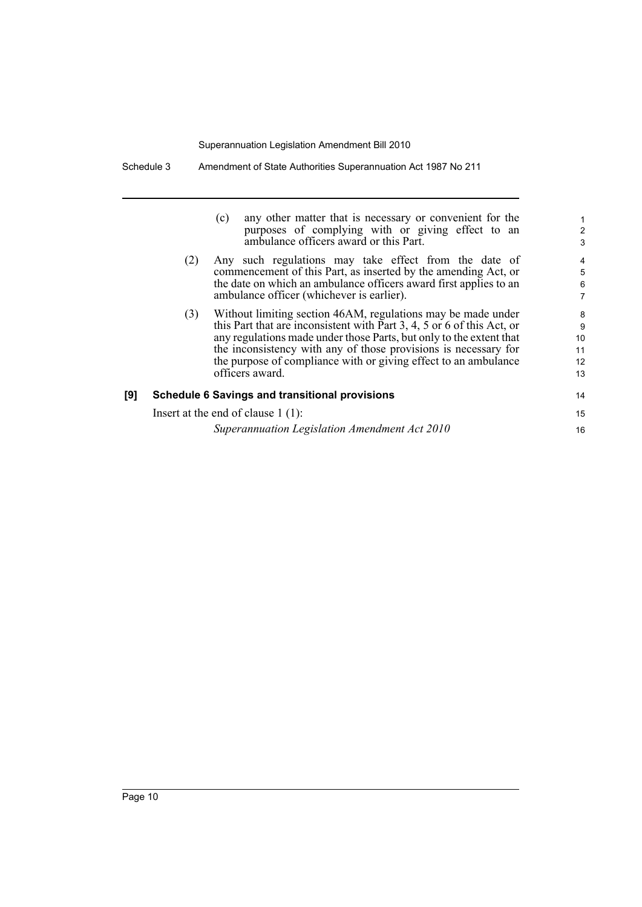|     |     | any other matter that is necessary or convenient for the<br>(c)<br>purposes of complying with or giving effect to an<br>ambulance officers award or this Part.                                                                                                                                                                                                         | $\overline{\mathbf{c}}$<br>3   |
|-----|-----|------------------------------------------------------------------------------------------------------------------------------------------------------------------------------------------------------------------------------------------------------------------------------------------------------------------------------------------------------------------------|--------------------------------|
|     | (2) | Any such regulations may take effect from the date of<br>commencement of this Part, as inserted by the amending Act, or<br>the date on which an ambulance officers award first applies to an<br>ambulance officer (whichever is earlier).                                                                                                                              | 4<br>5<br>6<br>7               |
|     | (3) | Without limiting section 46AM, regulations may be made under<br>this Part that are inconsistent with Part 3, 4, 5 or 6 of this Act, or<br>any regulations made under those Parts, but only to the extent that<br>the inconsistency with any of those provisions is necessary for<br>the purpose of compliance with or giving effect to an ambulance<br>officers award. | 8<br>9<br>10<br>11<br>12<br>13 |
| [9] |     | <b>Schedule 6 Savings and transitional provisions</b>                                                                                                                                                                                                                                                                                                                  | 14                             |
|     |     | Insert at the end of clause $1(1)$ :                                                                                                                                                                                                                                                                                                                                   | 15                             |
|     |     | Superannuation Legislation Amendment Act 2010                                                                                                                                                                                                                                                                                                                          | 16                             |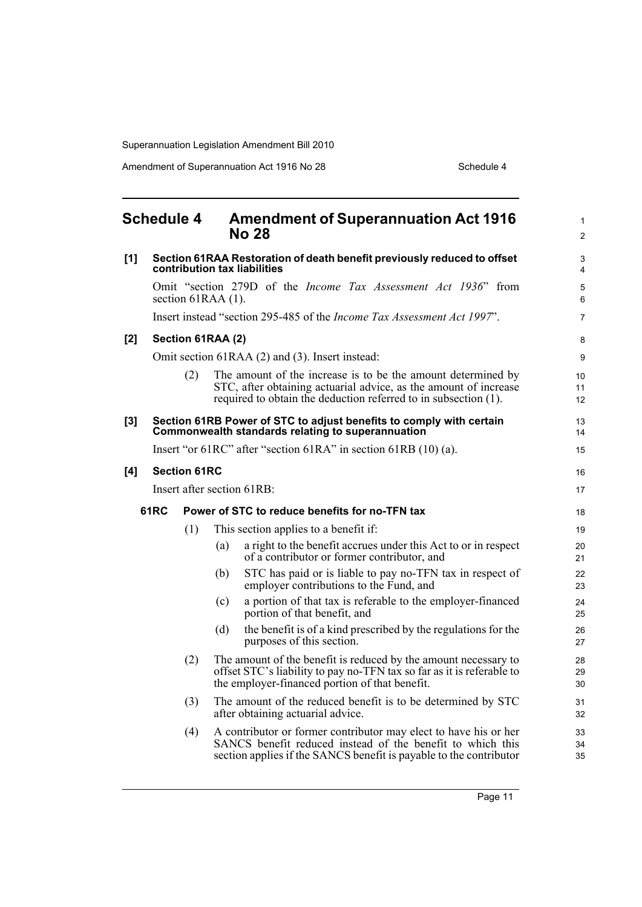Amendment of Superannuation Act 1916 No 28 Schedule 4

<span id="page-16-0"></span>

|       | <b>Schedule 4</b> |                     |     | <b>Amendment of Superannuation Act 1916</b><br><b>No 28</b>                                                                                                                                          | $\mathbf{1}$<br>2   |
|-------|-------------------|---------------------|-----|------------------------------------------------------------------------------------------------------------------------------------------------------------------------------------------------------|---------------------|
| [1]   |                   |                     |     | Section 61RAA Restoration of death benefit previously reduced to offset<br>contribution tax liabilities                                                                                              | 3<br>$\overline{4}$ |
|       |                   | section 61RAA (1).  |     | Omit "section 279D of the <i>Income Tax Assessment Act 1936</i> " from                                                                                                                               | 5<br>6              |
|       |                   |                     |     | Insert instead "section 295-485 of the Income Tax Assessment Act 1997".                                                                                                                              | $\overline{7}$      |
| $[2]$ |                   | Section 61RAA (2)   |     |                                                                                                                                                                                                      | 8                   |
|       |                   |                     |     | Omit section 61RAA (2) and (3). Insert instead:                                                                                                                                                      | 9                   |
|       |                   | (2)                 |     | The amount of the increase is to be the amount determined by<br>STC, after obtaining actuarial advice, as the amount of increase<br>required to obtain the deduction referred to in subsection (1).  | 10<br>11<br>12      |
| $[3]$ |                   |                     |     | Section 61RB Power of STC to adjust benefits to comply with certain<br>Commonwealth standards relating to superannuation                                                                             | 13<br>14            |
|       |                   |                     |     | Insert "or $61RC$ " after "section $61RA$ " in section $61RB(10)(a)$ .                                                                                                                               | 15                  |
| [4]   |                   | <b>Section 61RC</b> |     |                                                                                                                                                                                                      | 16                  |
|       |                   |                     |     | Insert after section 61RB:                                                                                                                                                                           | 17                  |
|       | 61RC              |                     |     | Power of STC to reduce benefits for no-TFN tax                                                                                                                                                       | 18                  |
|       |                   | (1)                 |     | This section applies to a benefit if:                                                                                                                                                                | 19                  |
|       |                   |                     | (a) | a right to the benefit accrues under this Act to or in respect<br>of a contributor or former contributor, and                                                                                        | 20<br>21            |
|       |                   |                     | (b) | STC has paid or is liable to pay no-TFN tax in respect of<br>employer contributions to the Fund, and                                                                                                 | 22<br>23            |
|       |                   |                     | (c) | a portion of that tax is referable to the employer-financed<br>portion of that benefit, and                                                                                                          | 24<br>25            |
|       |                   |                     | (d) | the benefit is of a kind prescribed by the regulations for the<br>purposes of this section.                                                                                                          | 26<br>27            |
|       |                   | (2)                 |     | The amount of the benefit is reduced by the amount necessary to<br>offset STC's liability to pay no-TFN tax so far as it is referable to<br>the employer-financed portion of that benefit.           | 28<br>29<br>30      |
|       |                   | (3)                 |     | The amount of the reduced benefit is to be determined by STC<br>after obtaining actuarial advice.                                                                                                    | 31<br>32            |
|       |                   | (4)                 |     | A contributor or former contributor may elect to have his or her<br>SANCS benefit reduced instead of the benefit to which this<br>section applies if the SANCS benefit is payable to the contributor | 33<br>34<br>35      |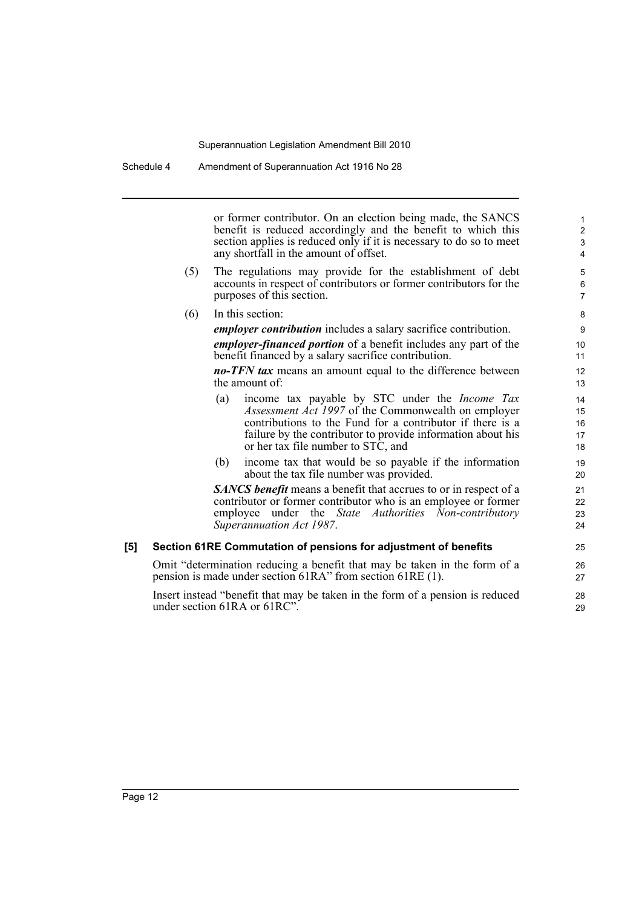Schedule 4 Amendment of Superannuation Act 1916 No 28

or former contributor. On an election being made, the SANCS benefit is reduced accordingly and the benefit to which this section applies is reduced only if it is necessary to do so to meet any shortfall in the amount of offset.

- (5) The regulations may provide for the establishment of debt accounts in respect of contributors or former contributors for the purposes of this section.
- (6) In this section:

*employer contribution* includes a salary sacrifice contribution.

*employer-financed portion* of a benefit includes any part of the benefit financed by a salary sacrifice contribution.

*no-TFN tax* means an amount equal to the difference between the amount of:

- (a) income tax payable by STC under the *Income Tax Assessment Act 1997* of the Commonwealth on employer contributions to the Fund for a contributor if there is a failure by the contributor to provide information about his or her tax file number to STC, and
- (b) income tax that would be so payable if the information about the tax file number was provided.

*SANCS benefit* means a benefit that accrues to or in respect of a contributor or former contributor who is an employee or former employee under the *State Authorities Non-contributory Superannuation Act 1987*.

#### **[5] Section 61RE Commutation of pensions for adjustment of benefits**

Omit "determination reducing a benefit that may be taken in the form of a pension is made under section 61RA" from section 61RE (1).

Insert instead "benefit that may be taken in the form of a pension is reduced under section 61RA or 61RC".